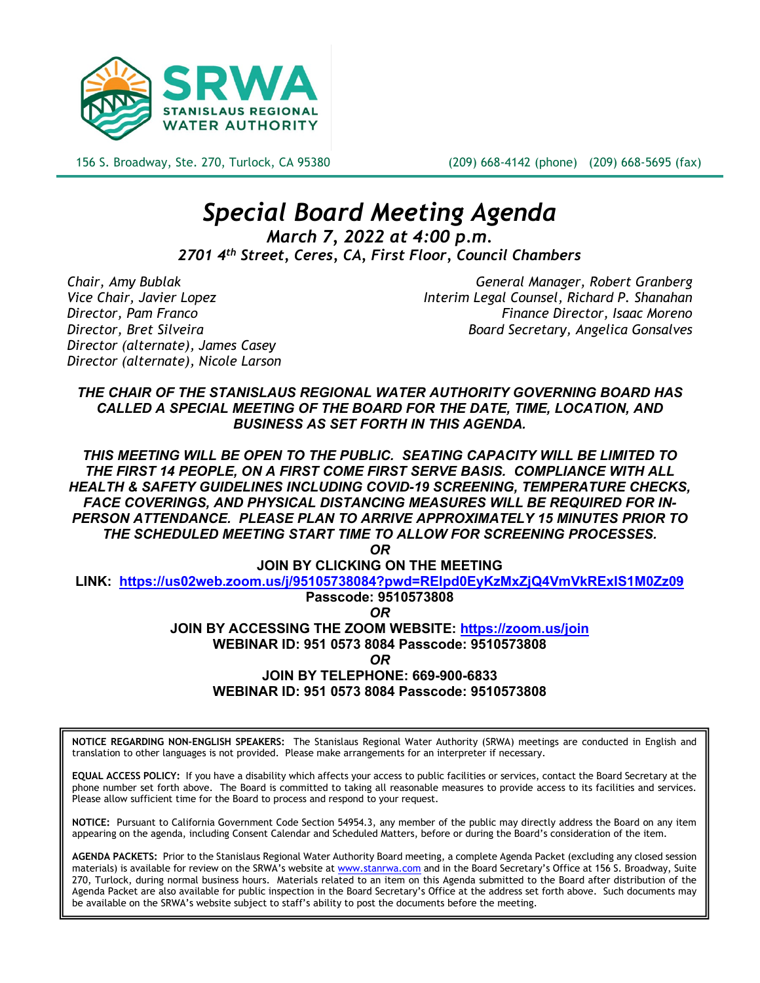

156 S. Broadway, Ste. 270, Turlock, CA 95380 (209) 668-4142 (phone) (209) 668-5695 (fax)

# *Special Board Meeting Agenda March 7, 2022 at 4:00 p.m.*

*2701 4th Street, Ceres, CA, First Floor, Council Chambers*

*Director (alternate), James Casey Director (alternate), Nicole Larson*

*Chair, Amy Bublak General Manager, Robert Granberg Vice Chair, Javier Lopez Interim Legal Counsel, Richard P. Shanahan Director, Pam Franco Finance Director, Isaac Moreno Director, Bret Silveira Board Secretary, Angelica Gonsalves*

*THE CHAIR OF THE STANISLAUS REGIONAL WATER AUTHORITY GOVERNING BOARD HAS CALLED A SPECIAL MEETING OF THE BOARD FOR THE DATE, TIME, LOCATION, AND BUSINESS AS SET FORTH IN THIS AGENDA.* 

*THIS MEETING WILL BE OPEN TO THE PUBLIC. SEATING CAPACITY WILL BE LIMITED TO THE FIRST 14 PEOPLE, ON A FIRST COME FIRST SERVE BASIS. COMPLIANCE WITH ALL HEALTH & SAFETY GUIDELINES INCLUDING COVID-19 SCREENING, TEMPERATURE CHECKS, FACE COVERINGS, AND PHYSICAL DISTANCING MEASURES WILL BE REQUIRED FOR IN-PERSON ATTENDANCE. PLEASE PLAN TO ARRIVE APPROXIMATELY 15 MINUTES PRIOR TO THE SCHEDULED MEETING START TIME TO ALLOW FOR SCREENING PROCESSES.* 

*OR*

**JOIN BY CLICKING ON THE MEETING** 

**LINK: <https://us02web.zoom.us/j/95105738084?pwd=RElpd0EyKzMxZjQ4VmVkRExIS1M0Zz09>**

**Passcode: 9510573808** *OR*

**JOIN BY ACCESSING THE ZOOM WEBSITE:<https://zoom.us/join> WEBINAR ID: 951 0573 8084 Passcode: 9510573808** *OR* **JOIN BY TELEPHONE: 669-900-6833 WEBINAR ID: 951 0573 8084 Passcode: 9510573808**

**NOTICE REGARDING NON-ENGLISH SPEAKERS:** The Stanislaus Regional Water Authority (SRWA) meetings are conducted in English and translation to other languages is not provided. Please make arrangements for an interpreter if necessary.

**EQUAL ACCESS POLICY:** If you have a disability which affects your access to public facilities or services, contact the Board Secretary at the phone number set forth above. The Board is committed to taking all reasonable measures to provide access to its facilities and services. Please allow sufficient time for the Board to process and respond to your request.

**NOTICE:** Pursuant to California Government Code Section 54954.3, any member of the public may directly address the Board on any item appearing on the agenda, including Consent Calendar and Scheduled Matters, before or during the Board's consideration of the item.

**AGENDA PACKETS:** Prior to the Stanislaus Regional Water Authority Board meeting, a complete Agenda Packet (excluding any closed session materials) is available for review on the SRWA's website at [www.stanrwa.com](http://www.stanrwa.com/) and in the Board Secretary's Office at 156 S. Broadway, Suite 270, Turlock, during normal business hours. Materials related to an item on this Agenda submitted to the Board after distribution of the Agenda Packet are also available for public inspection in the Board Secretary's Office at the address set forth above. Such documents may be available on the SRWA's website subject to staff's ability to post the documents before the meeting.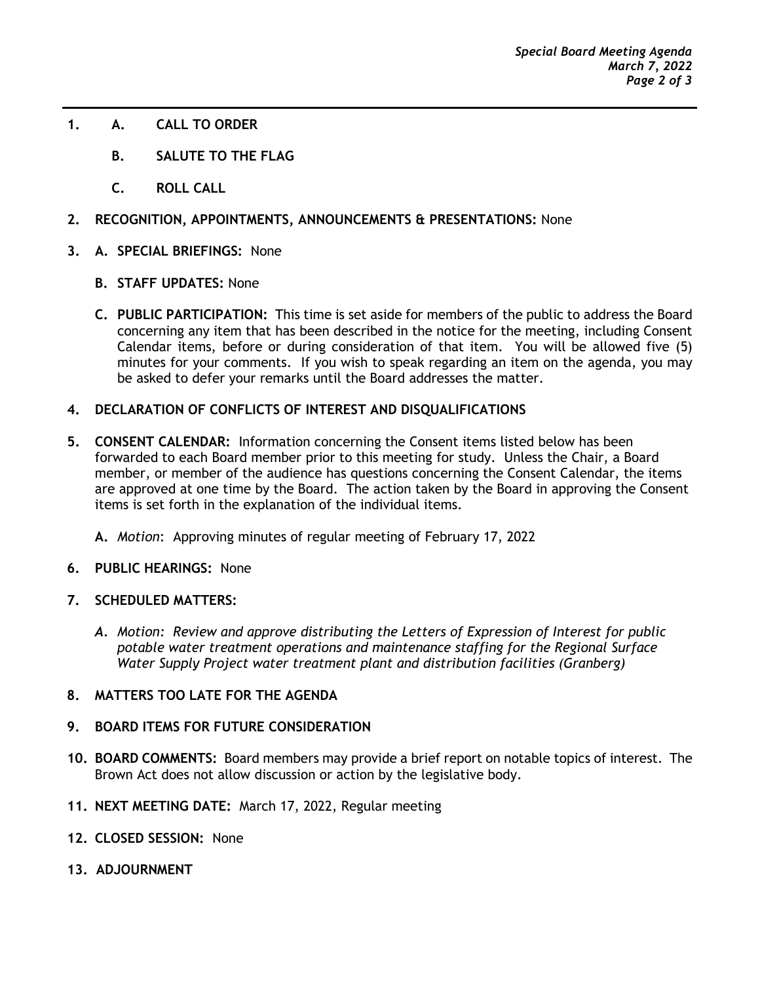- **1. A. CALL TO ORDER**
	- **B. SALUTE TO THE FLAG**
	- **C. ROLL CALL**
- **2. RECOGNITION, APPOINTMENTS, ANNOUNCEMENTS & PRESENTATIONS:** None
- **3. A. SPECIAL BRIEFINGS:** None
	- **B. STAFF UPDATES:** None
	- **C. PUBLIC PARTICIPATION:** This time is set aside for members of the public to address the Board concerning any item that has been described in the notice for the meeting, including Consent Calendar items, before or during consideration of that item. You will be allowed five (5) minutes for your comments. If you wish to speak regarding an item on the agenda, you may be asked to defer your remarks until the Board addresses the matter.
- **4. DECLARATION OF CONFLICTS OF INTEREST AND DISQUALIFICATIONS**
- **5. CONSENT CALENDAR:** Information concerning the Consent items listed below has been forwarded to each Board member prior to this meeting for study. Unless the Chair, a Board member, or member of the audience has questions concerning the Consent Calendar, the items are approved at one time by the Board. The action taken by the Board in approving the Consent items is set forth in the explanation of the individual items.
	- **A.** *Motion*: Approving minutes of regular meeting of February 17, 2022
- **6. PUBLIC HEARINGS:** None
- **7. SCHEDULED MATTERS:** 
	- *A. Motion: Review and approve distributing the Letters of Expression of Interest for public potable water treatment operations and maintenance staffing for the Regional Surface Water Supply Project water treatment plant and distribution facilities (Granberg)*
- **8. MATTERS TOO LATE FOR THE AGENDA**

#### **9. BOARD ITEMS FOR FUTURE CONSIDERATION**

- **10. BOARD COMMENTS:** Board members may provide a brief report on notable topics of interest. The Brown Act does not allow discussion or action by the legislative body.
- **11. NEXT MEETING DATE:** March 17, 2022, Regular meeting
- **12. CLOSED SESSION:** None
- **13. ADJOURNMENT**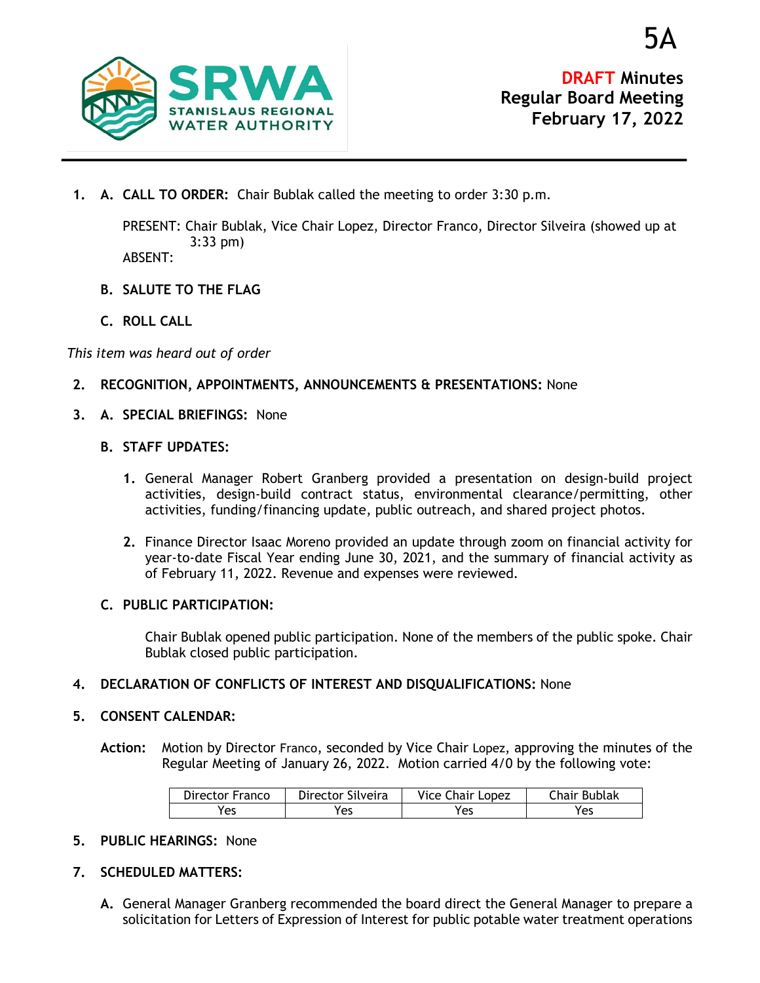

5A

**1. A. CALL TO ORDER:** Chair Bublak called the meeting to order 3:30 p.m.

PRESENT: Chair Bublak, Vice Chair Lopez, Director Franco, Director Silveira (showed up at 3:33 pm)

ABSENT:

- **B. SALUTE TO THE FLAG**
- **C. ROLL CALL**

*This item was heard out of order*

- **2. RECOGNITION, APPOINTMENTS, ANNOUNCEMENTS & PRESENTATIONS:** None
- **3. A. SPECIAL BRIEFINGS:** None
	- **B. STAFF UPDATES:**
		- **1.** General Manager Robert Granberg provided a presentation on design-build project activities, design-build contract status, environmental clearance/permitting, other activities, funding/financing update, public outreach, and shared project photos.
		- **2.** Finance Director Isaac Moreno provided an update through zoom on financial activity for year-to-date Fiscal Year ending June 30, 2021, and the summary of financial activity as of February 11, 2022. Revenue and expenses were reviewed.

#### **C. PUBLIC PARTICIPATION:**

Chair Bublak opened public participation. None of the members of the public spoke. Chair Bublak closed public participation.

**4. DECLARATION OF CONFLICTS OF INTEREST AND DISQUALIFICATIONS:** None

#### **5. CONSENT CALENDAR:**

**Action:** Motion by Director Franco, seconded by Vice Chair Lopez, approving the minutes of the Regular Meeting of January 26, 2022. Motion carried 4/0 by the following vote:

| Director Franco | Director Silveira | Vice Chair Lopez | Chair Bublak |
|-----------------|-------------------|------------------|--------------|
| Yes             | 'es               | Yes              | Yes          |

- **5. PUBLIC HEARINGS:** None
- **7. SCHEDULED MATTERS:**
	- **A.** General Manager Granberg recommended the board direct the General Manager to prepare a solicitation for Letters of Expression of Interest for public potable water treatment operations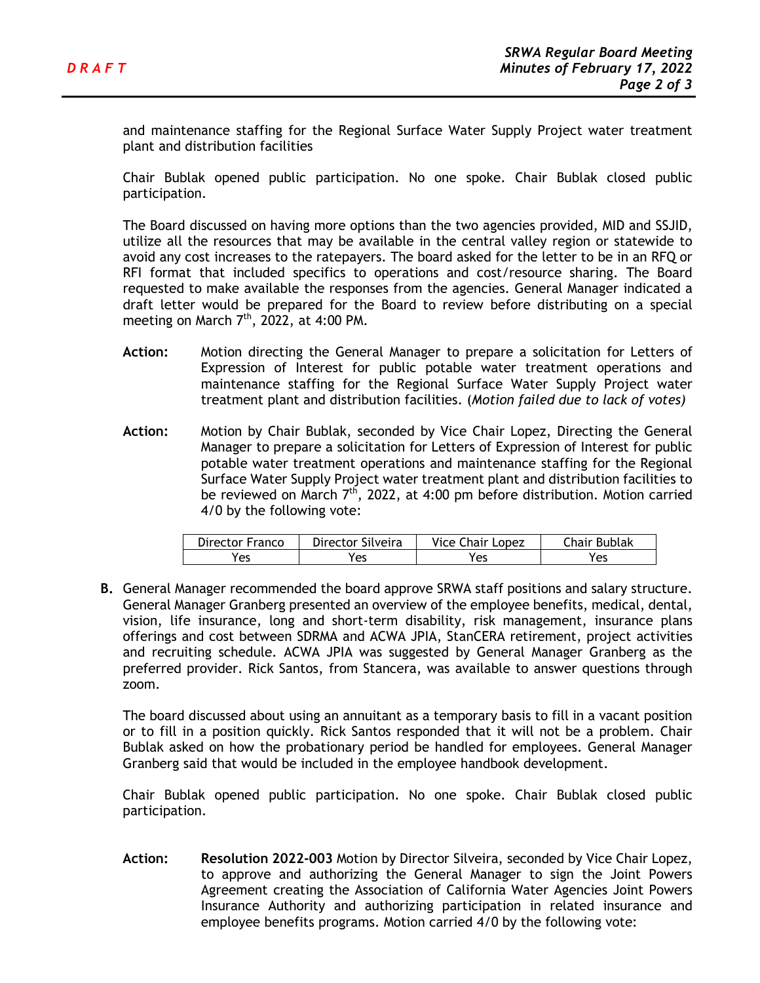and maintenance staffing for the Regional Surface Water Supply Project water treatment plant and distribution facilities

Chair Bublak opened public participation. No one spoke. Chair Bublak closed public participation.

The Board discussed on having more options than the two agencies provided, MID and SSJID, utilize all the resources that may be available in the central valley region or statewide to avoid any cost increases to the ratepayers. The board asked for the letter to be in an RFQ or RFI format that included specifics to operations and cost/resource sharing. The Board requested to make available the responses from the agencies. General Manager indicated a draft letter would be prepared for the Board to review before distributing on a special meeting on March  $7<sup>th</sup>$ , 2022, at 4:00 PM.

- **Action:** Motion directing the General Manager to prepare a solicitation for Letters of Expression of Interest for public potable water treatment operations and maintenance staffing for the Regional Surface Water Supply Project water treatment plant and distribution facilities. (*Motion failed due to lack of votes)*
- **Action:** Motion by Chair Bublak, seconded by Vice Chair Lopez, Directing the General Manager to prepare a solicitation for Letters of Expression of Interest for public potable water treatment operations and maintenance staffing for the Regional Surface Water Supply Project water treatment plant and distribution facilities to be reviewed on March  $7<sup>th</sup>$ , 2022, at 4:00 pm before distribution. Motion carried 4/0 by the following vote:

| Director Franco | Director Silveira | Vice Chair Lopez | Chair Bublak |
|-----------------|-------------------|------------------|--------------|
| res             | 'es               | Yes              | Yes          |

**B.** General Manager recommended the board approve SRWA staff positions and salary structure. General Manager Granberg presented an overview of the employee benefits, medical, dental, vision, life insurance, long and short-term disability, risk management, insurance plans offerings and cost between SDRMA and ACWA JPIA, StanCERA retirement, project activities and recruiting schedule. ACWA JPIA was suggested by General Manager Granberg as the preferred provider. Rick Santos, from Stancera, was available to answer questions through zoom.

The board discussed about using an annuitant as a temporary basis to fill in a vacant position or to fill in a position quickly. Rick Santos responded that it will not be a problem. Chair Bublak asked on how the probationary period be handled for employees. General Manager Granberg said that would be included in the employee handbook development.

Chair Bublak opened public participation. No one spoke. Chair Bublak closed public participation.

**Action: Resolution 2022-003** Motion by Director Silveira, seconded by Vice Chair Lopez, to approve and authorizing the General Manager to sign the Joint Powers Agreement creating the Association of California Water Agencies Joint Powers Insurance Authority and authorizing participation in related insurance and employee benefits programs. Motion carried 4/0 by the following vote: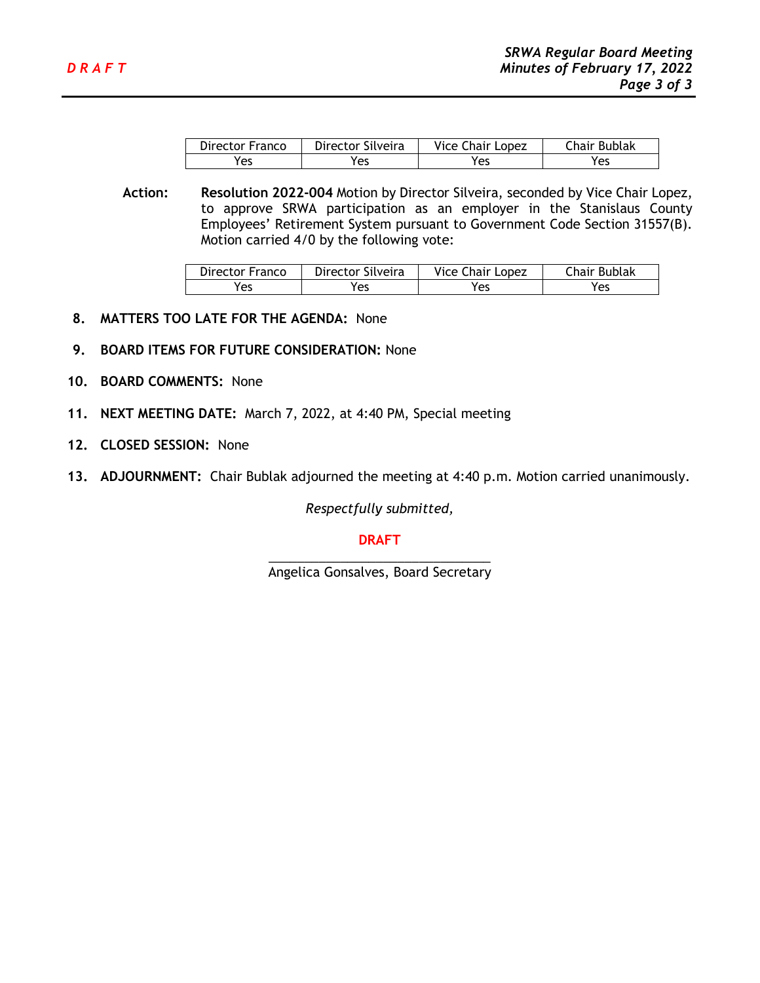| Director Franco | Director Silveira | Vice Chair Lopez | Chair Bublak |
|-----------------|-------------------|------------------|--------------|
| Yes             | Yes               | Yes              | Yes          |

**Action: Resolution 2022-004** Motion by Director Silveira, seconded by Vice Chair Lopez, to approve SRWA participation as an employer in the Stanislaus County Employees' Retirement System pursuant to Government Code Section 31557(B). Motion carried 4/0 by the following vote:

| Director Franco | Director Silveira | Vice Chair Lopez | Chair Bublak |
|-----------------|-------------------|------------------|--------------|
| Yes             | 'es               | 'es              | Yes          |

- **8. MATTERS TOO LATE FOR THE AGENDA:** None
- **9. BOARD ITEMS FOR FUTURE CONSIDERATION:** None
- **10. BOARD COMMENTS:** None
- **11. NEXT MEETING DATE:** March 7, 2022, at 4:40 PM, Special meeting
- **12. CLOSED SESSION:** None
- **13. ADJOURNMENT:** Chair Bublak adjourned the meeting at 4:40 p.m. Motion carried unanimously.

*Respectfully submitted,*

## **DRAFT**

\_\_\_\_\_\_\_\_\_\_\_\_\_\_\_\_\_\_\_\_\_\_\_\_\_\_\_\_\_\_\_ Angelica Gonsalves, Board Secretary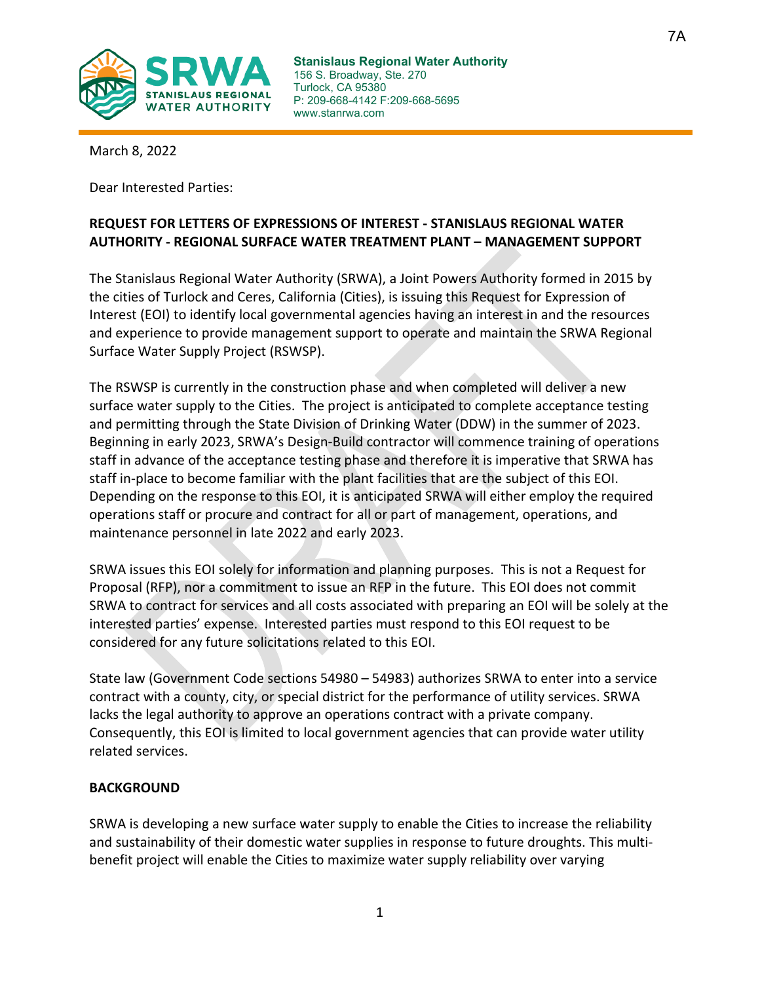

7A

March 8, 2022

Dear Interested Parties:

# **REQUEST FOR LETTERS OF EXPRESSIONS OF INTEREST - STANISLAUS REGIONAL WATER AUTHORITY - REGIONAL SURFACE WATER TREATMENT PLANT – MANAGEMENT SUPPORT**

The Stanislaus Regional Water Authority (SRWA), a Joint Powers Authority formed in 2015 by the cities of Turlock and Ceres, California (Cities), is issuing this Request for Expression of Interest (EOI) to identify local governmental agencies having an interest in and the resources and experience to provide management support to operate and maintain the SRWA Regional Surface Water Supply Project (RSWSP).

The RSWSP is currently in the construction phase and when completed will deliver a new surface water supply to the Cities. The project is anticipated to complete acceptance testing and permitting through the State Division of Drinking Water (DDW) in the summer of 2023. Beginning in early 2023, SRWA's Design-Build contractor will commence training of operations staff in advance of the acceptance testing phase and therefore it is imperative that SRWA has staff in-place to become familiar with the plant facilities that are the subject of this EOI. Depending on the response to this EOI, it is anticipated SRWA will either employ the required operations staff or procure and contract for all or part of management, operations, and maintenance personnel in late 2022 and early 2023.

SRWA issues this EOI solely for information and planning purposes. This is not a Request for Proposal (RFP), nor a commitment to issue an RFP in the future. This EOI does not commit SRWA to contract for services and all costs associated with preparing an EOI will be solely at the interested parties' expense. Interested parties must respond to this EOI request to be considered for any future solicitations related to this EOI.

State law (Government Code sections 54980 – 54983) authorizes SRWA to enter into a service contract with a county, city, or special district for the performance of utility services. SRWA lacks the legal authority to approve an operations contract with a private company. Consequently, this EOI is limited to local government agencies that can provide water utility related services.

## **BACKGROUND**

SRWA is developing a new surface water supply to enable the Cities to increase the reliability and sustainability of their domestic water supplies in response to future droughts. This multibenefit project will enable the Cities to maximize water supply reliability over varying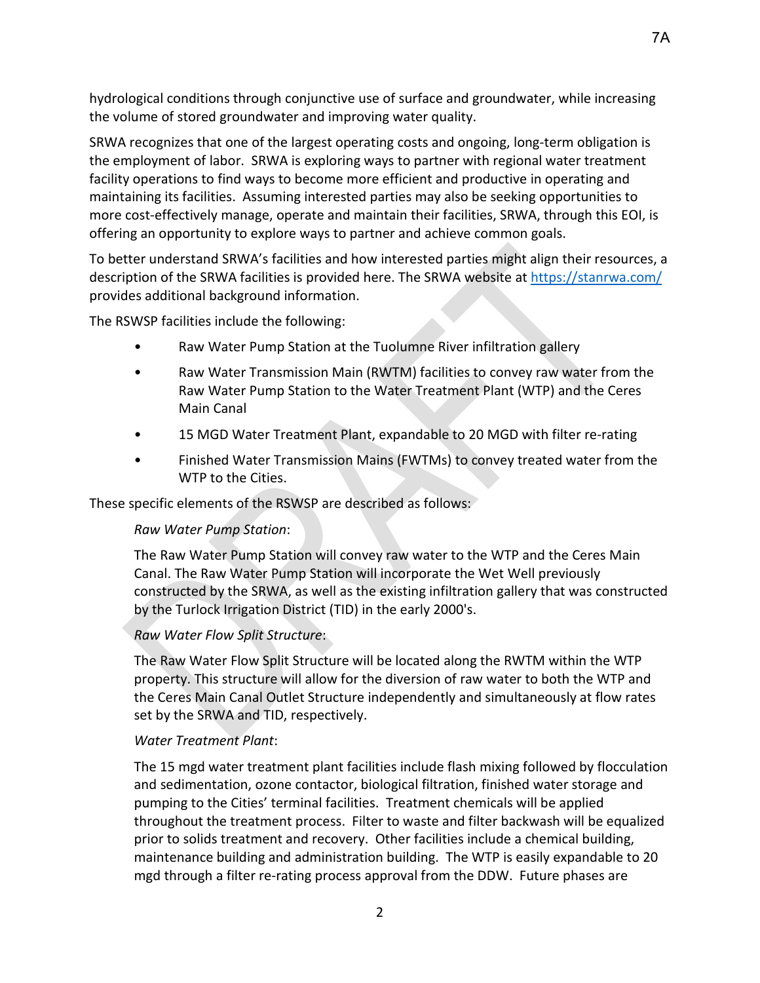hydrological conditions through conjunctive use of surface and groundwater, while increasing the volume of stored groundwater and improving water quality.

SRWA recognizes that one of the largest operating costs and ongoing, long-term obligation is the employment of labor. SRWA is exploring ways to partner with regional water treatment facility operations to find ways to become more efficient and productive in operating and maintaining its facilities. Assuming interested parties may also be seeking opportunities to more cost-effectively manage, operate and maintain their facilities, SRWA, through this EOI, is offering an opportunity to explore ways to partner and achieve common goals.

To better understand SRWA's facilities and how interested parties might align their resources, a description of the SRWA facilities is provided here. The SRWA website at<https://stanrwa.com/> provides additional background information.

The RSWSP facilities include the following:

- Raw Water Pump Station at the Tuolumne River infiltration gallery
- Raw Water Transmission Main (RWTM) facilities to convey raw water from the Raw Water Pump Station to the Water Treatment Plant (WTP) and the Ceres Main Canal
- 15 MGD Water Treatment Plant, expandable to 20 MGD with filter re-rating
- Finished Water Transmission Mains (FWTMs) to convey treated water from the WTP to the Cities.

These specific elements of the RSWSP are described as follows:

#### *Raw Water Pump Station*:

The Raw Water Pump Station will convey raw water to the WTP and the Ceres Main Canal. The Raw Water Pump Station will incorporate the Wet Well previously constructed by the SRWA, as well as the existing infiltration gallery that was constructed by the Turlock Irrigation District (TID) in the early 2000's.

## *Raw Water Flow Split Structure*:

The Raw Water Flow Split Structure will be located along the RWTM within the WTP property. This structure will allow for the diversion of raw water to both the WTP and the Ceres Main Canal Outlet Structure independently and simultaneously at flow rates set by the SRWA and TID, respectively.

## *Water Treatment Plant*:

The 15 mgd water treatment plant facilities include flash mixing followed by flocculation and sedimentation, ozone contactor, biological filtration, finished water storage and pumping to the Cities' terminal facilities. Treatment chemicals will be applied throughout the treatment process. Filter to waste and filter backwash will be equalized prior to solids treatment and recovery. Other facilities include a chemical building, maintenance building and administration building. The WTP is easily expandable to 20 mgd through a filter re-rating process approval from the DDW. Future phases are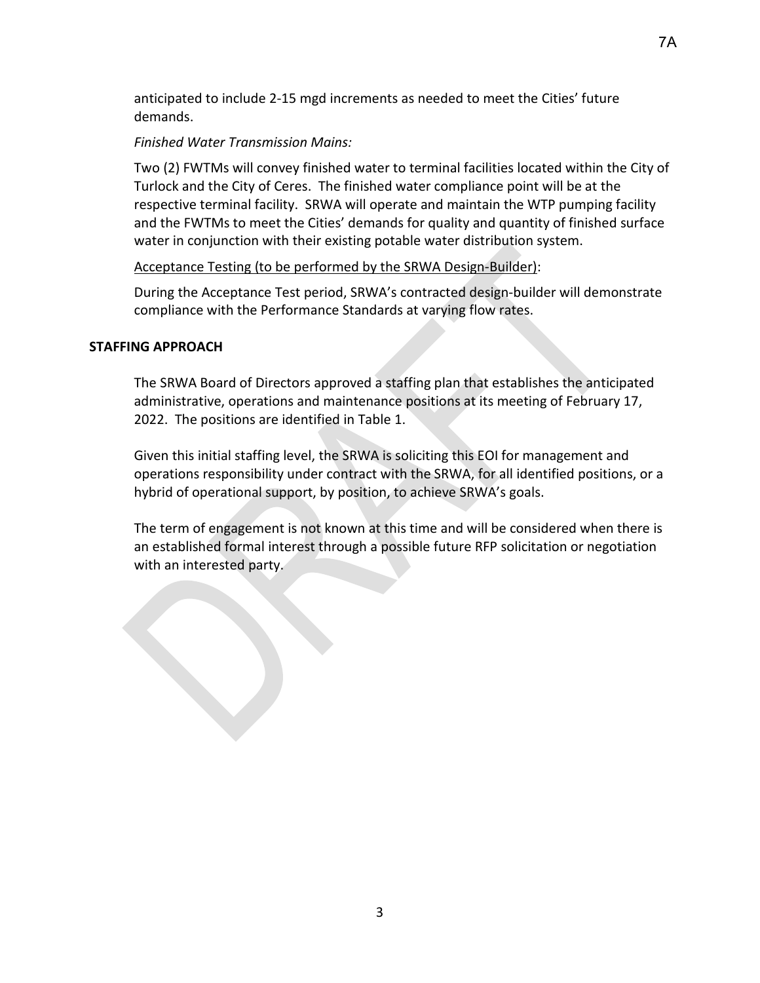anticipated to include 2-15 mgd increments as needed to meet the Cities' future demands.

# *Finished Water Transmission Mains:*

Two (2) FWTMs will convey finished water to terminal facilities located within the City of Turlock and the City of Ceres. The finished water compliance point will be at the respective terminal facility. SRWA will operate and maintain the WTP pumping facility and the FWTMs to meet the Cities' demands for quality and quantity of finished surface water in conjunction with their existing potable water distribution system.

## Acceptance Testing (to be performed by the SRWA Design-Builder):

During the Acceptance Test period, SRWA's contracted design-builder will demonstrate compliance with the Performance Standards at varying flow rates.

## **STAFFING APPROACH**

The SRWA Board of Directors approved a staffing plan that establishes the anticipated administrative, operations and maintenance positions at its meeting of February 17, 2022. The positions are identified in Table 1.

Given this initial staffing level, the SRWA is soliciting this EOI for management and operations responsibility under contract with the SRWA, for all identified positions, or a hybrid of operational support, by position, to achieve SRWA's goals.

The term of engagement is not known at this time and will be considered when there is an established formal interest through a possible future RFP solicitation or negotiation with an interested party.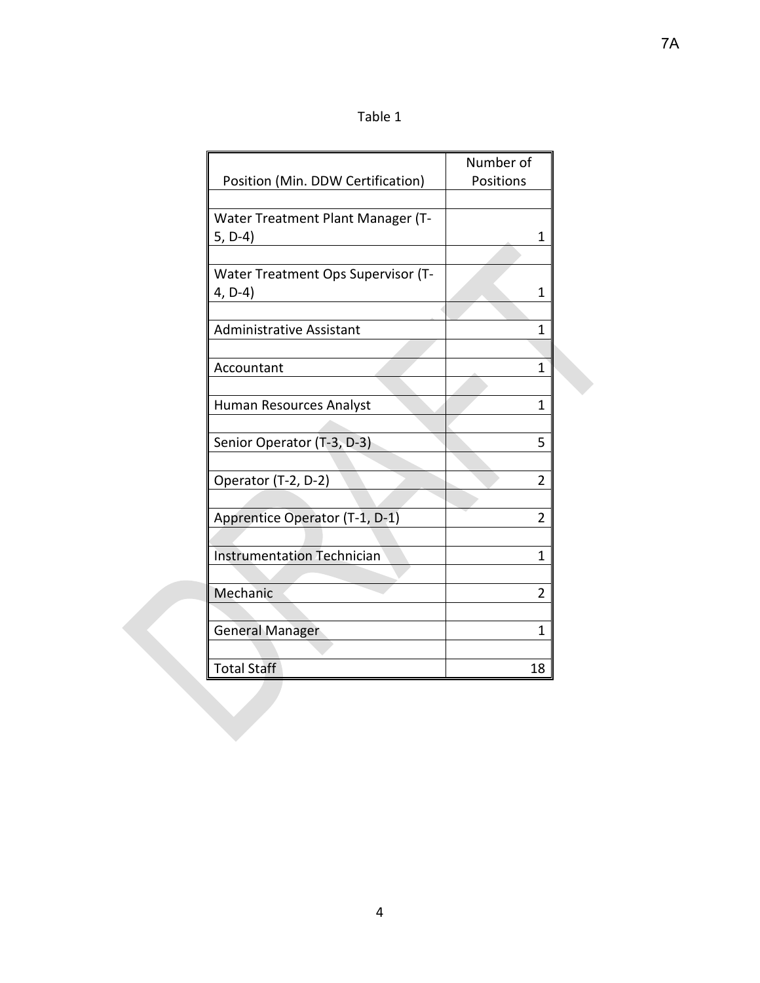|                                    | Number of |
|------------------------------------|-----------|
| Position (Min. DDW Certification)  | Positions |
|                                    |           |
| Water Treatment Plant Manager (T-  |           |
| $5, D-4)$                          | 1         |
|                                    |           |
| Water Treatment Ops Supervisor (T- |           |
| 4, D-4)                            | 1         |
|                                    |           |
| <b>Administrative Assistant</b>    | 1         |
|                                    |           |
| Accountant                         | 1         |
|                                    |           |
| Human Resources Analyst            | 1         |
|                                    |           |
| Senior Operator (T-3, D-3)         | 5         |
|                                    |           |
| Operator (T-2, D-2)                | 2         |
|                                    |           |
| Apprentice Operator (T-1, D-1)     | 2         |
|                                    |           |
| <b>Instrumentation Technician</b>  | 1         |
|                                    |           |
| Mechanic                           | 2         |
|                                    |           |
| <b>General Manager</b>             | 1         |
|                                    |           |
| <b>Total Staff</b>                 | 18        |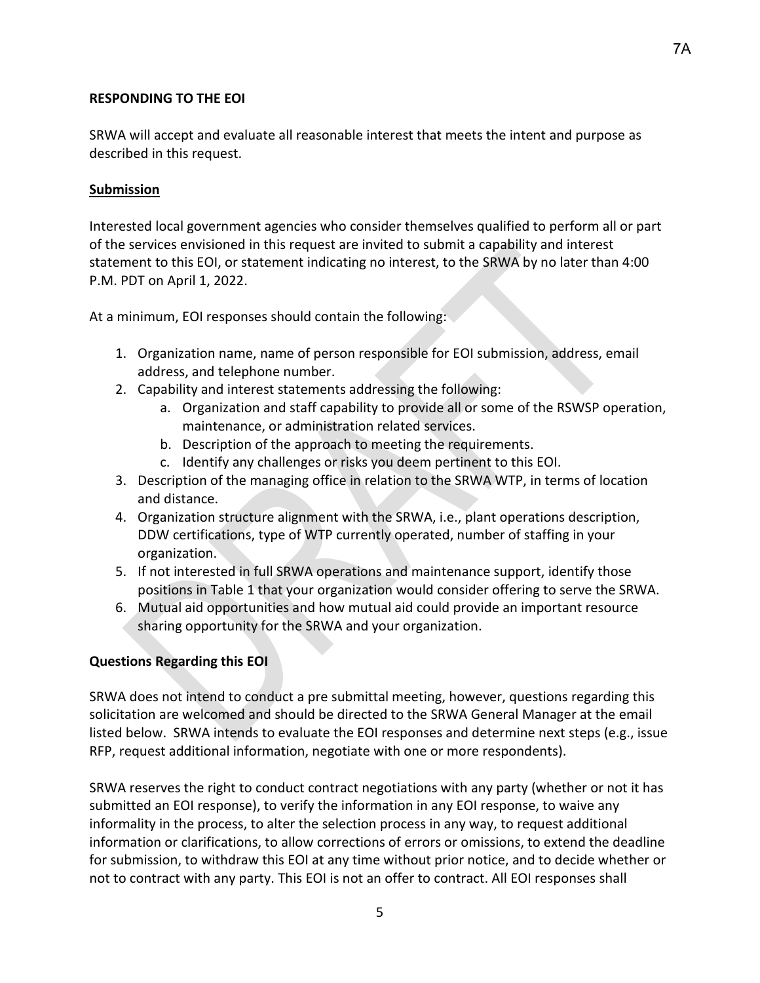## **RESPONDING TO THE EOI**

SRWA will accept and evaluate all reasonable interest that meets the intent and purpose as described in this request.

## **Submission**

Interested local government agencies who consider themselves qualified to perform all or part of the services envisioned in this request are invited to submit a capability and interest statement to this EOI, or statement indicating no interest, to the SRWA by no later than 4:00 P.M. PDT on April 1, 2022.

At a minimum, EOI responses should contain the following:

- 1. Organization name, name of person responsible for EOI submission, address, email address, and telephone number.
- 2. Capability and interest statements addressing the following:
	- a. Organization and staff capability to provide all or some of the RSWSP operation, maintenance, or administration related services.
	- b. Description of the approach to meeting the requirements.
	- c. Identify any challenges or risks you deem pertinent to this EOI.
- 3. Description of the managing office in relation to the SRWA WTP, in terms of location and distance.
- 4. Organization structure alignment with the SRWA, i.e., plant operations description, DDW certifications, type of WTP currently operated, number of staffing in your organization.
- 5. If not interested in full SRWA operations and maintenance support, identify those positions in Table 1 that your organization would consider offering to serve the SRWA.
- 6. Mutual aid opportunities and how mutual aid could provide an important resource sharing opportunity for the SRWA and your organization.

## **Questions Regarding this EOI**

SRWA does not intend to conduct a pre submittal meeting, however, questions regarding this solicitation are welcomed and should be directed to the SRWA General Manager at the email listed below. SRWA intends to evaluate the EOI responses and determine next steps (e.g., issue RFP, request additional information, negotiate with one or more respondents).

SRWA reserves the right to conduct contract negotiations with any party (whether or not it has submitted an EOI response), to verify the information in any EOI response, to waive any informality in the process, to alter the selection process in any way, to request additional information or clarifications, to allow corrections of errors or omissions, to extend the deadline for submission, to withdraw this EOI at any time without prior notice, and to decide whether or not to contract with any party. This EOI is not an offer to contract. All EOI responses shall

5